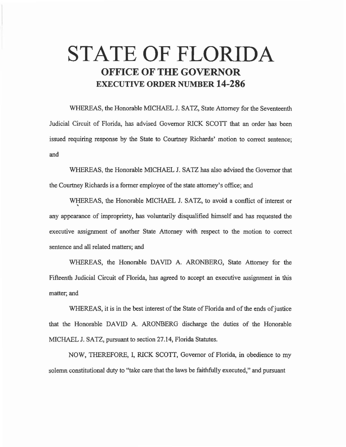# **STATE OF FLORIDA OFFICE OF THE GOVERNOR EXECUTIVE ORDER NUMBER 14-286**

WHEREAS, the Honorable MICHAEL J. SATZ, State Attorney for the Seventeenth Judicial Circuit of Florida, has advised Governor RICK SCOTT that an order has been issued requiring response by the State to Courtney Richards' motion to correct sentence; and

WHEREAS, the Honorable MICHAEL J. SATZ has also advised the Governor that the Courtney Richards is a former employee of the state attorney's office; and

WHEREAS, the Honorable MICHAEL J. SATZ, to avoid a conflict of interest or • any appearance of impropriety, has voluntarily disqualified himself and has requested the executive assignment of another State Attorney with respect to the motion to correct sentence and all related matters; and

WHEREAS, the Honorable DAVID A. ARONBERG, State Attorney for the Fifteenth Judicial Circuit of Florida, has agreed to accept an executive assignment in this matter; and

WHEREAS, it is in the best interest of the State of Florida and of the ends of justice that the Honorable DAVID A. ARONBERG discharge the duties of the Honorable MICHAEL J. SATZ, pursuant to section 27.14, Florida Statutes.

NOW, THEREFORE, I, RICK SCOTf, Governor of Florida, in obedience to my solemn constitutional duty to "take care that the laws be faithfully executed," and pursuant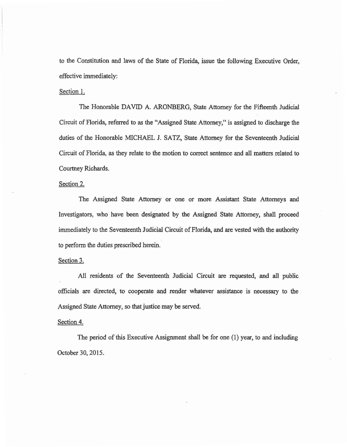to the Constitution and laws of the State of Florida, issue the following Executive Order, effective immediately:

# Section 1.

The Honorable DAVID A. ARONBERG, State Attorney for the Fifteenth Judicial Circuit of Florida, referred to as the "Assigned State Attorney," is assigned to discharge the duties of the Honorable MICHAEL J. SATZ, State Attorney for the Seventeenth Judicial Circuit of Florida, as they relate to the motion to correct sentence and all matters related to Courtney Richards.

#### Section 2.

The Assigned State Attorney or one or more Assistant State Attorneys and Investigators: who have been designated by the Assigned State Attorney, shall proceed immediately to the Seventeenth Judicial Circuit of Florida, and are vested with the authority to perform the duties prescribed herein.

# Section 3.

All residents of the Seventeenth Judicial Circuit are requested, and all public officials are directed, to cooperate and render whatever assistance is necessary to the Assigned State Attorney, so that justice may be served.

# Section 4.

The period of this Executive Assignment shall be for one (I) year, to and including October 30, 2015.